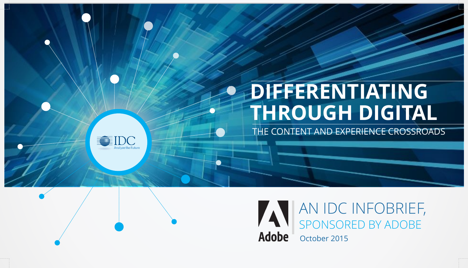# **DIFFERENTIATING THROUGH DIGITAL**

THE CONTENT AND EXPERIENCE CROSSROADS



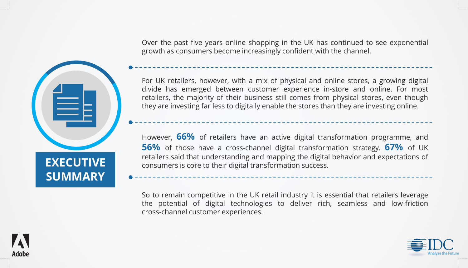Over the past five years online shopping in the UK has continued to see exponential growth as consumers become increasingly confident with the channel.

For UK retailers, however, with a mix of physical and online stores, a growing digital divide has emerged between customer experience in-store and online. For most retailers, the majority of their business still comes from physical stores, even though they are investing far less to digitally enable the stores than they are investing online.

However, **66%** of retailers have an active digital transformation programme, and **56%** of those have a cross-channel digital transformation strategy. **67%** of UK retailers said that understanding and mapping the digital behavior and expectations of consumers is core to their digital transformation success.

So to remain competitive in the UK retail industry it is essential that retailers leverage the potential of digital technologies to deliver rich, seamless and low-friction cross-channel customer experiences.





Adobe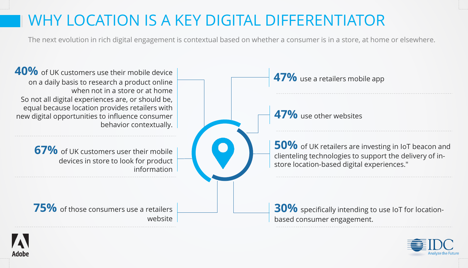#### WHY LOCATION IS A KEY DIGITAL DIFFERENTIATOR

Adobe

The next evolution in rich digital engagement is contextual based on whether a consumer is in a store, at home or elsewhere.



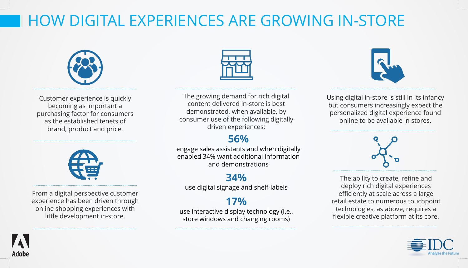## HOW DIGITAL EXPERIENCES ARE GROWING IN-STORE



Customer experience is quickly becoming as important a purchasing factor for consumers as the established tenets of brand, product and price.



From a digital perspective customer experience has been driven through online shopping experiences with little development in-store.

Adobe



The growing demand for rich digital content delivered in-store is best demonstrated, when available, by consumer use of the following digitally driven experiences:

#### **56%**

engage sales assistants and when digitally enabled 34% want additional information and demonstrations

#### **34%**

use digital signage and shelf-labels

#### **17%**

use interactive display technology (i.e., store windows and changing rooms)



Using digital in-store is still in its infancy but consumers increasingly expect the personalized digital experience found online to be available in stores.



The ability to create, refine and deploy rich digital experiences efficiently at scale across a large retail estate to numerous touchpoint technologies, as above, requires a flexible creative platform at its core.

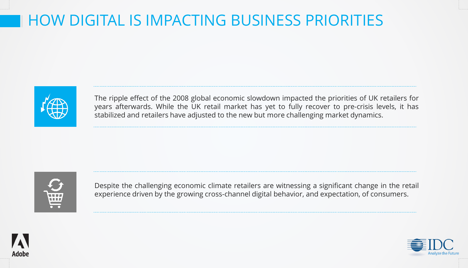### HOW DIGITAL IS IMPACTING BUSINESS PRIORITIES



The ripple effect of the 2008 global economic slowdown impacted the priorities of UK retailers for years afterwards. While the UK retail market has yet to fully recover to pre-crisis levels, it has stabilized and retailers have adjusted to the new but more challenging market dynamics.



Despite the challenging economic climate retailers are witnessing a significant change in the retail experience driven by the growing cross-channel digital behavior, and expectation, of consumers.



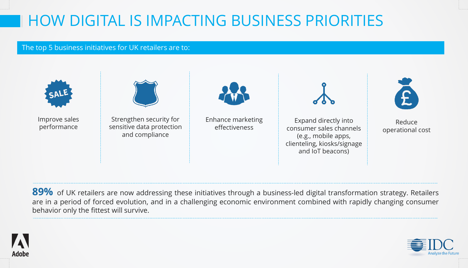## HOW DIGITAL IS IMPACTING BUSINESS PRIORITIES

#### The top 5 business initiatives for UK retailers are to:



89% of UK retailers are now addressing these initiatives through a business-led digital transformation strategy. Retailers are in a period of forced evolution, and in a challenging economic environment combined with rapidly changing consumer behavior only the fittest will survive.



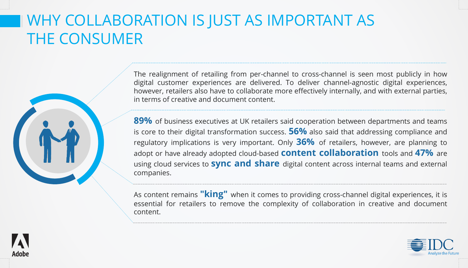#### WHY COLLABORATION IS JUST AS IMPORTANT AS THE CONSUMER

The realignment of retailing from per-channel to cross-channel is seen most publicly in how digital customer experiences are delivered. To deliver channel-agnostic digital experiences, however, retailers also have to collaborate more effectively internally, and with external parties, in terms of creative and document content.

**89%** of business executives at UK retailers said cooperation between departments and teams is core to their digital transformation success. **56%** also said that addressing compliance and regulatory implications is very important. Only **36%** of retailers, however, are planning to adopt or have already adopted cloud-based **content collaboration** tools and **47%** are using cloud services to **sync and share** digital content across internal teams and external companies.

As content remains **"king"** when it comes to providing cross-channel digital experiences, it is essential for retailers to remove the complexity of collaboration in creative and document content.



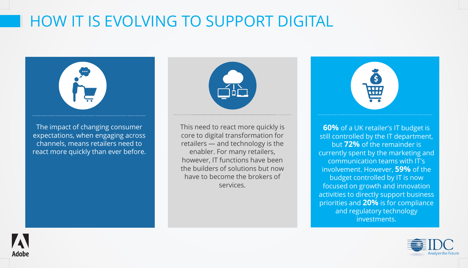### HOW IT IS EVOLVING TO SUPPORT DIGITAL



The impact of changing consumer expectations, when engaging across channels, means retailers need to react more quickly than ever before.

**Adobe** 



This need to react more quickly is core to digital transformation for retailers — and technology is the enabler. For many retailers, however, IT functions have been the builders of solutions but now have to become the brokers of services.

| j.                 |  |
|--------------------|--|
| <b>WHITE</b>       |  |
| the control of the |  |

**60%** of a UK retailer's IT budget is still controlled by the IT department, but **72%** of the remainder is currently spent by the marketing and communication teams with IT's involvement. However, **59%** of the budget controlled by IT is now focused on growth and innovation activities to directly support business priorities and **20%** is for compliance and regulatory technology investments.

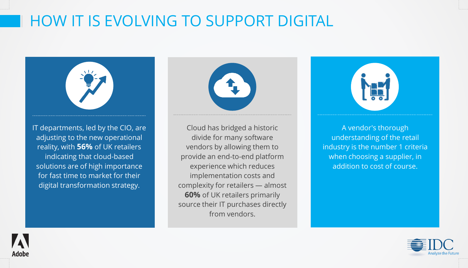### HOW IT IS EVOLVING TO SUPPORT DIGITAL



IT departments, led by the CIO, are adjusting to the new operational reality, with **56%** of UK retailers indicating that cloud-based solutions are of high importance for fast time to market for their digital transformation strategy.

**Adobe** 





A vendor's thorough understanding of the retail industry is the number 1 criteria when choosing a supplier, in addition to cost of course.

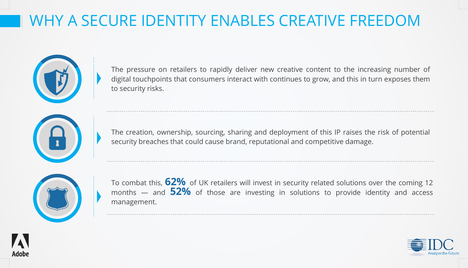### WHY A SECURE IDENTITY ENABLES CREATIVE FREEDOM



The pressure on retailers to rapidly deliver new creative content to the increasing number of digital touchpoints that consumers interact with continues to grow, and this in turn exposes them to security risks.

The creation, ownership, sourcing, sharing and deployment of this IP raises the risk of potential security breaches that could cause brand, reputational and competitive damage.



Adob

To combat this, **62%** of UK retailers will invest in security related solutions over the coming <sup>12</sup> months — and **52%** of those are investing in solutions to provide identity and access management.

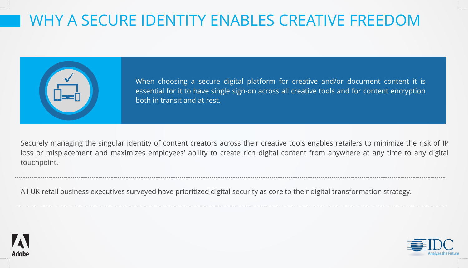### WHY A SECURE IDENTITY ENABLES CREATIVE FREEDOM



When choosing a secure digital platform for creative and/or document content it is essential for it to have single sign-on across all creative tools and for content encryption both in transit and at rest.

Securely managing the singular identity of content creators across their creative tools enables retailers to minimize the risk of IP loss or misplacement and maximizes employees' ability to create rich digital content from anywhere at any time to any digital touchpoint.

All UK retail business executives surveyed have prioritized digital security as core to their digital transformation strategy.



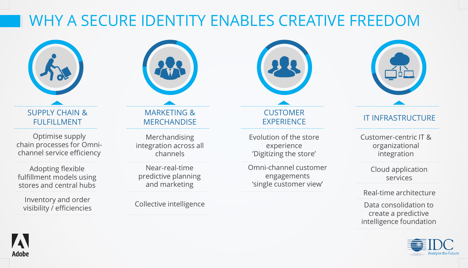### WHY A SECURE IDENTITY ENABLES CREATIVE FREEDOM



SUPPLY CHAIN & FULFILLMENT

Optimise supply chain processes for Omnichannel service efficiency

Adopting flexible fulfillment models using stores and central hubs

Inventory and order visibility / efficiencies



#### MARKETING & **MERCHANDISE**

Merchandising integration across all channels

Near-real-time predictive planning and marketing

Collective intelligence



**CUSTOMER EXPERIENCE** 

Evolution of the store experience 'Digitizing the store'

Omni-channel customer engagements 'single customer view'



#### IT INFRASTRUCTURE

Customer-centric IT & organizational integration

> Cloud application services

Real-time architecture

Data consolidation to create a predictive intelligence foundation



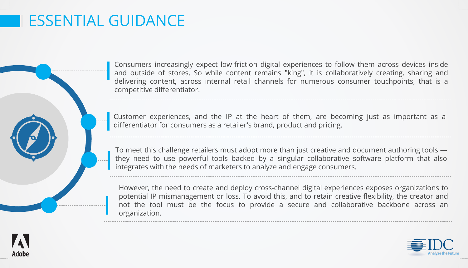#### ESSENTIAL GUIDANCE

Consumers increasingly expect low-friction digital experiences to follow them across devices inside and outside of stores. So while content remains "king", it is collaboratively creating, sharing and delivering content, across internal retail channels for numerous consumer touchpoints, that is a competitive differentiator.

Customer experiences, and the IP at the heart of them, are becoming just as important as a differentiator for consumers as a retailer's brand, product and pricing.

To meet this challenge retailers must adopt more than just creative and document authoring tools they need to use powerful tools backed by a singular collaborative software platform that also integrates with the needs of marketers to analyze and engage consumers.

However, the need to create and deploy cross-channel digital experiences exposes organizations to potential IP mismanagement or loss. To avoid this, and to retain creative flexibility, the creator and not the tool must be the focus to provide a secure and collaborative backbone across an organization.



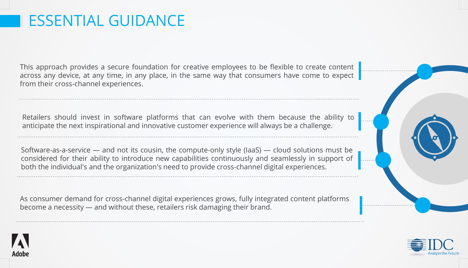#### ESSENTIAL GUIDANCE

This approach provides a secure foundation for creative employees to be flexible to create content across any device, at any time, in any place, in the same way that consumers have come to expect from their cross-channel experiences.

Retailers should invest in software platforms that can evolve with them because the ability to anticipate the next inspirational and innovative customer experience will always be a challenge.

Software-as-a-service — and not its cousin, the compute-only style (IaaS) — cloud solutions must be considered for their ability to introduce new capabilities continuously and seamlessly in support of both the individual's and the organization's need to provide cross-channel digital experiences.

As consumer demand for cross-channel digital experiences grows, fully integrated content platforms become a necessity — and without these, retailers risk damaging their brand.



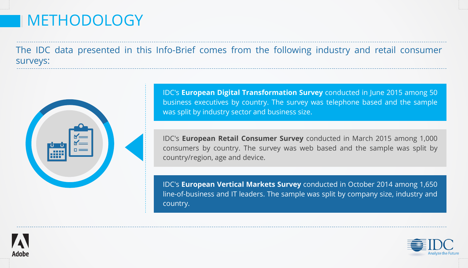#### METHODOLOGY

The IDC data presented in this Info-Brief comes from the following industry and retail consumer surveys:



IDC's **European Digital Transformation Survey** conducted in June 2015 among 50 business executives by country. The survey was telephone based and the sample was split by industry sector and business size.

IDC's **European Retail Consumer Survey** conducted in March 2015 among 1,000 consumers by country. The survey was web based and the sample was split by country/region, age and device.

IDC's **European Vertical Markets Survey** conducted in October 2014 among 1,650 line-of-business and IT leaders. The sample was split by company size, industry and country.